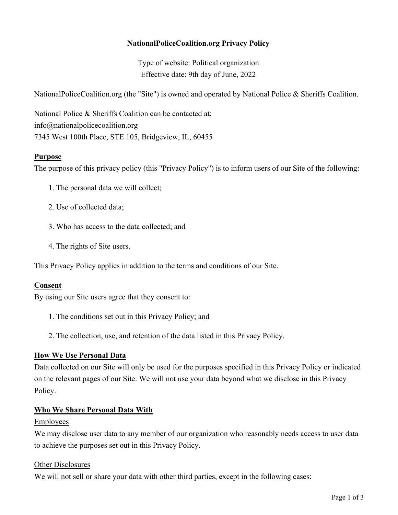## **NationalPoliceCoalition.org Privacy Policy**

Type of website: Political organization Effective date: 9th day of June, 2022

NationalPoliceCoalition.org (the "Site") is owned and operated by National Police & Sheriffs Coalition.

National Police & Sheriffs Coalition can be contacted at: info@nationalpolicecoalition.org 7345 West 100th Place, STE 105, Bridgeview, IL, 60455

### **Purpose**

The purpose of this privacy policy (this "Privacy Policy") is to inform users of our Site of the following:

- 1. The personal data we will collect;
- 2. Use of collected data;
- 3. Who has access to the data collected; and
- 4. The rights of Site users.

This Privacy Policy applies in addition to the terms and conditions of our Site.

### **Consent**

By using our Site users agree that they consent to:

- 1. The conditions set out in this Privacy Policy; and
- 2. The collection, use, and retention of the data listed in this Privacy Policy.

### **How We Use Personal Data**

Data collected on our Site will only be used for the purposes specified in this Privacy Policy or indicated on the relevant pages of our Site. We will not use your data beyond what we disclose in this Privacy Policy.

### **Who We Share Personal Data With**

### Employees

We may disclose user data to any member of our organization who reasonably needs access to user data to achieve the purposes set out in this Privacy Policy.

### Other Disclosures

We will not sell or share your data with other third parties, except in the following cases: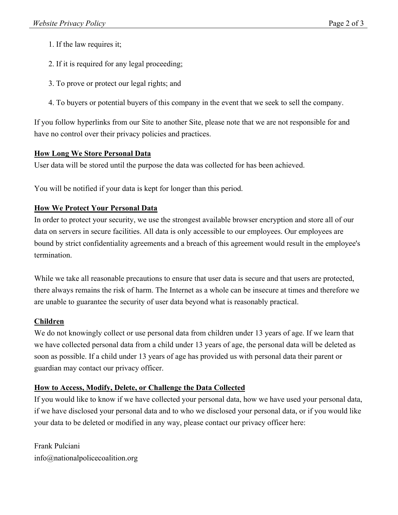- 1. If the law requires it;
- 2. If it is required for any legal proceeding;
- 3. To prove or protect our legal rights; and
- 4. To buyers or potential buyers of this company in the event that we seek to sell the company.

If you follow hyperlinks from our Site to another Site, please note that we are not responsible for and have no control over their privacy policies and practices.

## **How Long We Store Personal Data**

User data will be stored until the purpose the data was collected for has been achieved.

You will be notified if your data is kept for longer than this period.

## **How We Protect Your Personal Data**

In order to protect your security, we use the strongest available browser encryption and store all of our data on servers in secure facilities. All data is only accessible to our employees. Our employees are bound by strict confidentiality agreements and a breach of this agreement would result in the employee's termination.

While we take all reasonable precautions to ensure that user data is secure and that users are protected, there always remains the risk of harm. The Internet as a whole can be insecure at times and therefore we are unable to guarantee the security of user data beyond what is reasonably practical.

## **Children**

We do not knowingly collect or use personal data from children under 13 years of age. If we learn that we have collected personal data from a child under 13 years of age, the personal data will be deleted as soon as possible. If a child under 13 years of age has provided us with personal data their parent or guardian may contact our privacy officer.

## **How to Access, Modify, Delete, or Challenge the Data Collected**

If you would like to know if we have collected your personal data, how we have used your personal data, if we have disclosed your personal data and to who we disclosed your personal data, or if you would like your data to be deleted or modified in any way, please contact our privacy officer here:

Frank Pulciani info@nationalpolicecoalition.org